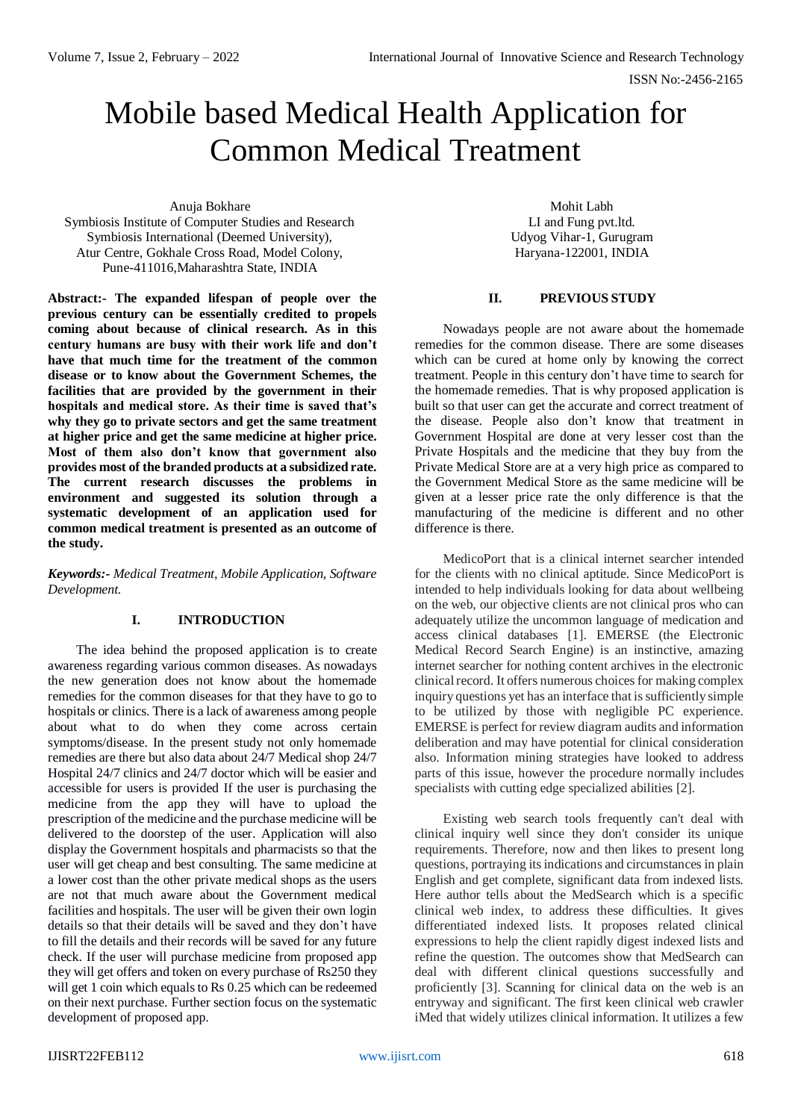# Mobile based Medical Health Application for Common Medical Treatment

Anuja Bokhare Symbiosis Institute of Computer Studies and Research Symbiosis International (Deemed University), Atur Centre, Gokhale Cross Road, Model Colony, Pune-411016,Maharashtra State, INDIA

**Abstract:- The expanded lifespan of people over the previous century can be essentially credited to propels coming about because of clinical research. As in this century humans are busy with their work life and don't have that much time for the treatment of the common disease or to know about the Government Schemes, the facilities that are provided by the government in their hospitals and medical store. As their time is saved that's why they go to private sectors and get the same treatment at higher price and get the same medicine at higher price. Most of them also don't know that government also provides most of the branded products at a subsidized rate. The current research discusses the problems in environment and suggested its solution through a systematic development of an application used for common medical treatment is presented as an outcome of the study.**

*Keywords:- Medical Treatment, Mobile Application, Software Development.*

## **I. INTRODUCTION**

The idea behind the proposed application is to create awareness regarding various common diseases. As nowadays the new generation does not know about the homemade remedies for the common diseases for that they have to go to hospitals or clinics. There is a lack of awareness among people about what to do when they come across certain symptoms/disease. In the present study not only homemade remedies are there but also data about 24/7 Medical shop 24/7 Hospital 24/7 clinics and 24/7 doctor which will be easier and accessible for users is provided If the user is purchasing the medicine from the app they will have to upload the prescription of the medicine and the purchase medicine will be delivered to the doorstep of the user. Application will also display the Government hospitals and pharmacists so that the user will get cheap and best consulting. The same medicine at a lower cost than the other private medical shops as the users are not that much aware about the Government medical facilities and hospitals. The user will be given their own login details so that their details will be saved and they don't have to fill the details and their records will be saved for any future check. If the user will purchase medicine from proposed app they will get offers and token on every purchase of Rs250 they will get 1 coin which equals to Rs 0.25 which can be redeemed on their next purchase. Further section focus on the systematic development of proposed app.

Mohit Labh LI and Fung pvt.ltd. Udyog Vihar-1, Gurugram Haryana-122001, INDIA

#### **II. PREVIOUS STUDY**

Nowadays people are not aware about the homemade remedies for the common disease. There are some diseases which can be cured at home only by knowing the correct treatment. People in this century don't have time to search for the homemade remedies. That is why proposed application is built so that user can get the accurate and correct treatment of the disease. People also don't know that treatment in Government Hospital are done at very lesser cost than the Private Hospitals and the medicine that they buy from the Private Medical Store are at a very high price as compared to the Government Medical Store as the same medicine will be given at a lesser price rate the only difference is that the manufacturing of the medicine is different and no other difference is there.

MedicoPort that is a clinical internet searcher intended for the clients with no clinical aptitude. Since MedicoPort is intended to help individuals looking for data about wellbeing on the web, our objective clients are not clinical pros who can adequately utilize the uncommon language of medication and access clinical databases [1]. EMERSE (the Electronic Medical Record Search Engine) is an instinctive, amazing internet searcher for nothing content archives in the electronic clinical record. It offers numerous choices for making complex inquiry questions yet has an interface that is sufficiently simple to be utilized by those with negligible PC experience. EMERSE is perfect for review diagram audits and information deliberation and may have potential for clinical consideration also. Information mining strategies have looked to address parts of this issue, however the procedure normally includes specialists with cutting edge specialized abilities [2].

Existing web search tools frequently can't deal with clinical inquiry well since they don't consider its unique requirements. Therefore, now and then likes to present long questions, portraying its indications and circumstances in plain English and get complete, significant data from indexed lists. Here author tells about the MedSearch which is a specific clinical web index, to address these difficulties. It gives differentiated indexed lists. It proposes related clinical expressions to help the client rapidly digest indexed lists and refine the question. The outcomes show that MedSearch can deal with different clinical questions successfully and proficiently [3]. Scanning for clinical data on the web is an entryway and significant. The first keen clinical web crawler iMed that widely utilizes clinical information. It utilizes a few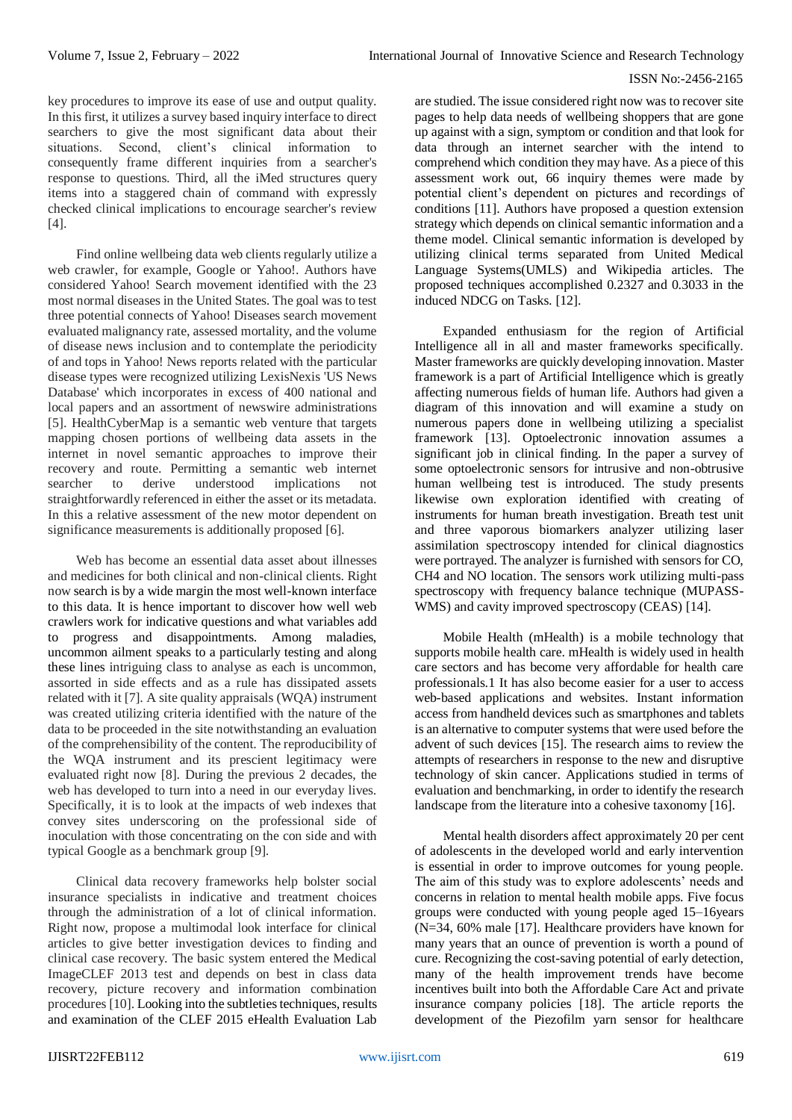key procedures to improve its ease of use and output quality. In this first, it utilizes a survey based inquiry interface to direct searchers to give the most significant data about their situations. Second, client's clinical information to consequently frame different inquiries from a searcher's response to questions. Third, all the iMed structures query items into a staggered chain of command with expressly checked clinical implications to encourage searcher's review [4].

Find online wellbeing data web clients regularly utilize a web crawler, for example, Google or Yahoo!. Authors have considered Yahoo! Search movement identified with the 23 most normal diseases in the United States. The goal was to test three potential connects of Yahoo! Diseases search movement evaluated malignancy rate, assessed mortality, and the volume of disease news inclusion and to contemplate the periodicity of and tops in Yahoo! News reports related with the particular disease types were recognized utilizing LexisNexis 'US News Database' which incorporates in excess of 400 national and local papers and an assortment of newswire administrations [5]. HealthCyberMap is a semantic web venture that targets mapping chosen portions of wellbeing data assets in the internet in novel semantic approaches to improve their recovery and route. Permitting a semantic web internet searcher to derive understood implications not straightforwardly referenced in either the asset or its metadata. In this a relative assessment of the new motor dependent on significance measurements is additionally proposed [6].

Web has become an essential data asset about illnesses and medicines for both clinical and non-clinical clients. Right now search is by a wide margin the most well-known interface to this data. It is hence important to discover how well web crawlers work for indicative questions and what variables add to progress and disappointments. Among maladies, uncommon ailment speaks to a particularly testing and along these lines intriguing class to analyse as each is uncommon, assorted in side effects and as a rule has dissipated assets related with it [7]. A site quality appraisals (WQA) instrument was created utilizing criteria identified with the nature of the data to be proceeded in the site notwithstanding an evaluation of the comprehensibility of the content. The reproducibility of the WQA instrument and its prescient legitimacy were evaluated right now [8]. During the previous 2 decades, the web has developed to turn into a need in our everyday lives. Specifically, it is to look at the impacts of web indexes that convey sites underscoring on the professional side of inoculation with those concentrating on the con side and with typical Google as a benchmark group [9].

Clinical data recovery frameworks help bolster social insurance specialists in indicative and treatment choices through the administration of a lot of clinical information. Right now, propose a multimodal look interface for clinical articles to give better investigation devices to finding and clinical case recovery. The basic system entered the Medical ImageCLEF 2013 test and depends on best in class data recovery, picture recovery and information combination procedures [10]. Looking into the subtleties techniques, results and examination of the CLEF 2015 eHealth Evaluation Lab

are studied. The issue considered right now was to recover site pages to help data needs of wellbeing shoppers that are gone up against with a sign, symptom or condition and that look for data through an internet searcher with the intend to comprehend which condition they may have. As a piece of this assessment work out, 66 inquiry themes were made by potential client's dependent on pictures and recordings of conditions [11]. Authors have proposed a question extension strategy which depends on clinical semantic information and a theme model. Clinical semantic information is developed by utilizing clinical terms separated from United Medical Language Systems(UMLS) and Wikipedia articles. The proposed techniques accomplished 0.2327 and 0.3033 in the induced NDCG on Tasks. [12].

Expanded enthusiasm for the region of Artificial Intelligence all in all and master frameworks specifically. Master frameworks are quickly developing innovation. Master framework is a part of Artificial Intelligence which is greatly affecting numerous fields of human life. Authors had given a diagram of this innovation and will examine a study on numerous papers done in wellbeing utilizing a specialist framework [13]. Optoelectronic innovation assumes a significant job in clinical finding. In the paper a survey of some optoelectronic sensors for intrusive and non-obtrusive human wellbeing test is introduced. The study presents likewise own exploration identified with creating of instruments for human breath investigation. Breath test unit and three vaporous biomarkers analyzer utilizing laser assimilation spectroscopy intended for clinical diagnostics were portrayed. The analyzer is furnished with sensors for CO, CH4 and NO location. The sensors work utilizing multi-pass spectroscopy with frequency balance technique (MUPASS-WMS) and cavity improved spectroscopy (CEAS) [14].

Mobile Health (mHealth) is a mobile technology that supports mobile health care. mHealth is widely used in health care sectors and has become very affordable for health care professionals.1 It has also become easier for a user to access web-based applications and websites. Instant information access from handheld devices such as smartphones and tablets is an alternative to computer systems that were used before the advent of such devices [15]. The research aims to review the attempts of researchers in response to the new and disruptive technology of skin cancer. Applications studied in terms of evaluation and benchmarking, in order to identify the research landscape from the literature into a cohesive taxonomy [16].

Mental health disorders affect approximately 20 per cent of adolescents in the developed world and early intervention is essential in order to improve outcomes for young people. The aim of this study was to explore adolescents' needs and concerns in relation to mental health mobile apps. Five focus groups were conducted with young people aged 15–16years (N=34, 60% male [17]. Healthcare providers have known for many years that an ounce of prevention is worth a pound of cure. Recognizing the cost-saving potential of early detection, many of the health improvement trends have become incentives built into both the Affordable Care Act and private insurance company policies [18]. The article reports the development of the Piezofilm yarn sensor for healthcare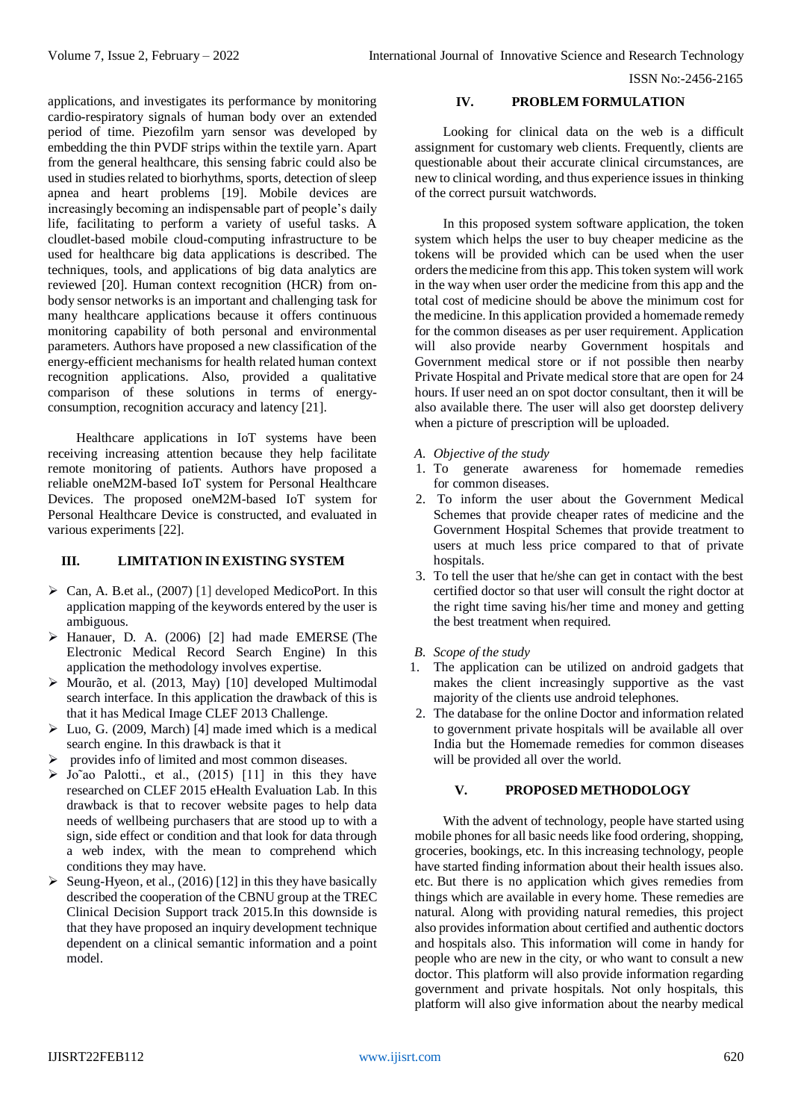applications, and investigates its performance by monitoring cardio-respiratory signals of human body over an extended period of time. Piezofilm yarn sensor was developed by embedding the thin PVDF strips within the textile yarn. Apart from the general healthcare, this sensing fabric could also be used in studies related to biorhythms, sports, detection of sleep apnea and heart problems [19]. Mobile devices are increasingly becoming an indispensable part of people's daily life, facilitating to perform a variety of useful tasks. A cloudlet-based mobile cloud-computing infrastructure to be used for healthcare big data applications is described. The techniques, tools, and applications of big data analytics are reviewed [20]. Human context recognition (HCR) from onbody sensor networks is an important and challenging task for many healthcare applications because it offers continuous monitoring capability of both personal and environmental parameters. Authors have proposed a new classification of the energy-efficient mechanisms for health related human context recognition applications. Also, provided a qualitative comparison of these solutions in terms of energyconsumption, recognition accuracy and latency [21].

Healthcare applications in IoT systems have been receiving increasing attention because they help facilitate remote monitoring of patients. Authors have proposed a reliable oneM2M-based IoT system for Personal Healthcare Devices. The proposed oneM2M-based IoT system for Personal Healthcare Device is constructed, and evaluated in various experiments [22].

# **III. LIMITATION IN EXISTING SYSTEM**

- $\triangleright$  Can, A. B.et al., (2007) [1] developed MedicoPort. In this application mapping of the keywords entered by the user is ambiguous.
- Hanauer, D. A. (2006) [2] had made EMERSE (The Electronic Medical Record Search Engine) In this application the methodology involves expertise.
- $\triangleright$  Mourão, et al. (2013, May) [10] developed Multimodal search interface. In this application the drawback of this is that it has Medical Image CLEF 2013 Challenge.
- $\triangleright$  Luo, G. (2009, March) [4] made imed which is a medical search engine. In this drawback is that it
- provides info of limited and most common diseases.
- $\triangleright$  Jo~ao Palotti., et al., (2015) [11] in this they have researched on CLEF 2015 eHealth Evaluation Lab. In this drawback is that to recover website pages to help data needs of wellbeing purchasers that are stood up to with a sign, side effect or condition and that look for data through a web index, with the mean to comprehend which conditions they may have.
- Seung-Hyeon, et al., (2016) [12] in this they have basically described the cooperation of the CBNU group at the TREC Clinical Decision Support track 2015.In this downside is that they have proposed an inquiry development technique dependent on a clinical semantic information and a point model.

## **IV. PROBLEM FORMULATION**

Looking for clinical data on the web is a difficult assignment for customary web clients. Frequently, clients are questionable about their accurate clinical circumstances, are new to clinical wording, and thus experience issues in thinking of the correct pursuit watchwords.

In this proposed system software application, the token system which helps the user to buy cheaper medicine as the tokens will be provided which can be used when the user orders the medicine from this app. This token system will work in the way when user order the medicine from this app and the total cost of medicine should be above the minimum cost for the medicine. In this application provided a homemade remedy for the common diseases as per user requirement. Application will also provide nearby Government hospitals and Government medical store or if not possible then nearby Private Hospital and Private medical store that are open for 24 hours. If user need an on spot doctor consultant, then it will be also available there. The user will also get doorstep delivery when a picture of prescription will be uploaded.

## *A. Objective of the study*

- 1. To generate awareness for homemade remedies for common diseases.
- 2. To inform the user about the Government Medical Schemes that provide cheaper rates of medicine and the Government Hospital Schemes that provide treatment to users at much less price compared to that of private hospitals.
- 3. To tell the user that he/she can get in contact with the best certified doctor so that user will consult the right doctor at the right time saving his/her time and money and getting the best treatment when required.
- *B. Scope of the study*
- 1. The application can be utilized on android gadgets that makes the client increasingly supportive as the vast majority of the clients use android telephones.
- 2. The database for the online Doctor and information related to government private hospitals will be available all over India but the Homemade remedies for common diseases will be provided all over the world.

# **V. PROPOSED METHODOLOGY**

With the advent of technology, people have started using mobile phones for all basic needs like food ordering, shopping, groceries, bookings, etc. In this increasing technology, people have started finding information about their health issues also. etc. But there is no application which gives remedies from things which are available in every home. These remedies are natural. Along with providing natural remedies, this project also provides information about certified and authentic doctors and hospitals also. This information will come in handy for people who are new in the city, or who want to consult a new doctor. This platform will also provide information regarding government and private hospitals. Not only hospitals, this platform will also give information about the nearby medical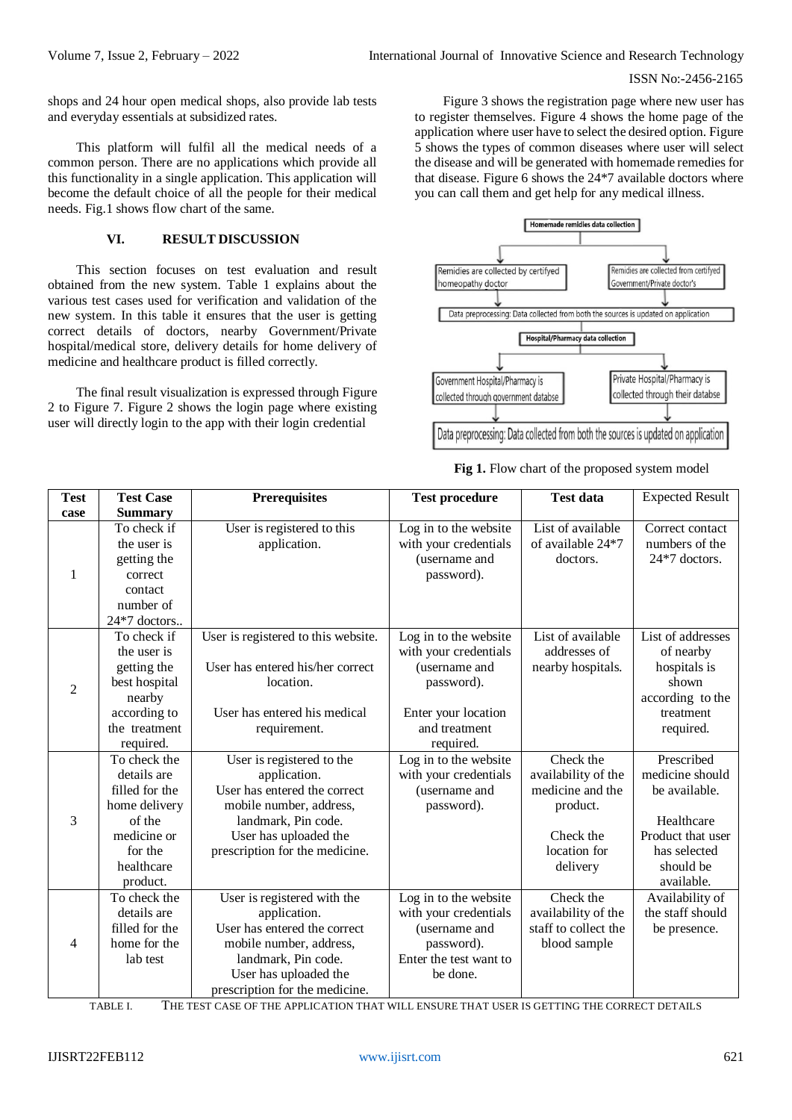shops and 24 hour open medical shops, also provide lab tests and everyday essentials at subsidized rates.

This platform will fulfil all the medical needs of a common person. There are no applications which provide all this functionality in a single application. This application will become the default choice of all the people for their medical needs. Fig.1 shows flow chart of the same.

# **VI. RESULT DISCUSSION**

This section focuses on test evaluation and result obtained from the new system. Table 1 explains about the various test cases used for verification and validation of the new system. In this table it ensures that the user is getting correct details of doctors, nearby Government/Private hospital/medical store, delivery details for home delivery of medicine and healthcare product is filled correctly.

The final result visualization is expressed through Figure 2 to Figure 7. Figure 2 shows the login page where existing user will directly login to the app with their login credential

Figure 3 shows the registration page where new user has to register themselves. Figure 4 shows the home page of the application where user have to select the desired option. Figure 5 shows the types of common diseases where user will select the disease and will be generated with homemade remedies for that disease. Figure 6 shows the 24\*7 available doctors where you can call them and get help for any medical illness.



| <b>Test</b>    | <b>Test Case</b>                                                                                                             | <b>Prerequisites</b>                                                                                                                                                                     | <b>Test procedure</b>                                                                                                              | <b>Test data</b>                                                                                          | <b>Expected Result</b>                                                                                                       |
|----------------|------------------------------------------------------------------------------------------------------------------------------|------------------------------------------------------------------------------------------------------------------------------------------------------------------------------------------|------------------------------------------------------------------------------------------------------------------------------------|-----------------------------------------------------------------------------------------------------------|------------------------------------------------------------------------------------------------------------------------------|
| case           | <b>Summary</b>                                                                                                               |                                                                                                                                                                                          |                                                                                                                                    |                                                                                                           |                                                                                                                              |
| $\mathbf{1}$   | To check if<br>the user is<br>getting the<br>correct<br>contact<br>number of<br>24*7 doctors                                 | User is registered to this<br>application.                                                                                                                                               | Log in to the website<br>with your credentials<br>(username and<br>password).                                                      | List of available<br>of available 24*7<br>doctors.                                                        | Correct contact<br>numbers of the<br>$24*7$ doctors.                                                                         |
| $\overline{2}$ | To check if<br>the user is<br>getting the<br>best hospital<br>nearby<br>according to<br>the treatment<br>required.           | User is registered to this website.<br>User has entered his/her correct<br>location.<br>User has entered his medical<br>requirement.                                                     | Log in to the website<br>with your credentials<br>(username and<br>password).<br>Enter your location<br>and treatment<br>required. | List of available<br>addresses of<br>nearby hospitals.                                                    | List of addresses<br>of nearby<br>hospitals is<br>shown<br>according to the<br>treatment<br>required.                        |
| 3              | To check the<br>details are<br>filled for the<br>home delivery<br>of the<br>medicine or<br>for the<br>healthcare<br>product. | User is registered to the<br>application.<br>User has entered the correct<br>mobile number, address,<br>landmark, Pin code.<br>User has uploaded the<br>prescription for the medicine.   | $\overline{\text{Log}}$ in to the website<br>with your credentials<br>(username and<br>password).                                  | Check the<br>availability of the<br>medicine and the<br>product.<br>Check the<br>location for<br>delivery | Prescribed<br>medicine should<br>be available.<br>Healthcare<br>Product that user<br>has selected<br>should be<br>available. |
| $\overline{4}$ | To check the<br>details are<br>filled for the<br>home for the<br>lab test                                                    | User is registered with the<br>application.<br>User has entered the correct<br>mobile number, address,<br>landmark, Pin code.<br>User has uploaded the<br>prescription for the medicine. | Log in to the website<br>with your credentials<br>(username and<br>password).<br>Enter the test want to<br>be done.                | Check the<br>availability of the<br>staff to collect the<br>blood sample                                  | Availability of<br>the staff should<br>be presence.                                                                          |

TABLE I. THE TEST CASE OF THE APPLICATION THAT WILL ENSURE THAT USER IS GETTING THE CORRECT DETAILS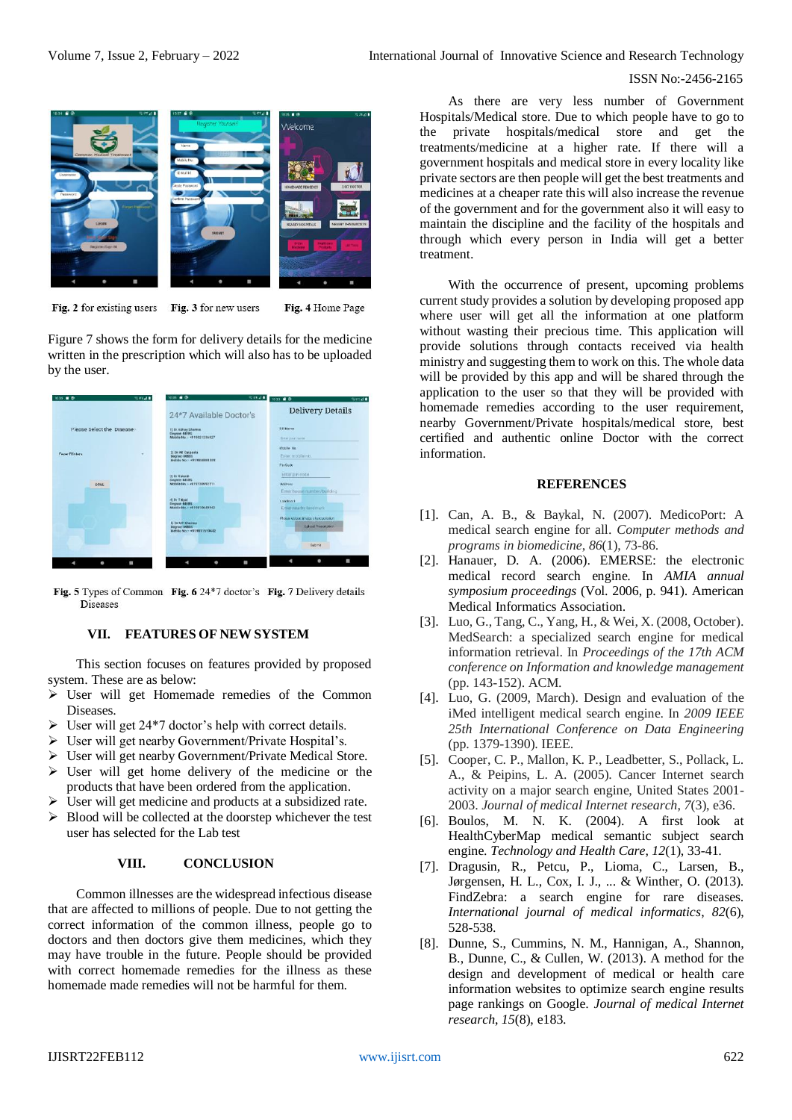

Fig. 2 for existing users Fig. 3 for new users Fig. 4 Home Page

Figure 7 shows the form for delivery details for the medicine written in the prescription which will also has to be uploaded by the user.



Fig. 5 Types of Common Fig. 6 24\*7 doctor's Fig. 7 Delivery details Diseases

# **VII. FEATURES OF NEW SYSTEM**

This section focuses on features provided by proposed system. These are as below:

- $\triangleright$  User will get Homemade remedies of the Common Diseases.
- $\triangleright$  User will get 24\*7 doctor's help with correct details.
- User will get nearby Government/Private Hospital's.
- User will get nearby Government/Private Medical Store.
- $\triangleright$  User will get home delivery of the medicine or the products that have been ordered from the application.
- $\triangleright$  User will get medicine and products at a subsidized rate.
- $\triangleright$  Blood will be collected at the doorstep whichever the test user has selected for the Lab test

## **VIII. CONCLUSION**

Common illnesses are the widespread infectious disease that are affected to millions of people. Due to not getting the correct information of the common illness, people go to doctors and then doctors give them medicines, which they may have trouble in the future. People should be provided with correct homemade remedies for the illness as these homemade made remedies will not be harmful for them.

As there are very less number of Government Hospitals/Medical store. Due to which people have to go to the private hospitals/medical store and get the treatments/medicine at a higher rate. If there will a government hospitals and medical store in every locality like private sectors are then people will get the best treatments and medicines at a cheaper rate this will also increase the revenue of the government and for the government also it will easy to maintain the discipline and the facility of the hospitals and through which every person in India will get a better treatment.

With the occurrence of present, upcoming problems current study provides a solution by developing proposed app where user will get all the information at one platform without wasting their precious time. This application will provide solutions through contacts received via health ministry and suggesting them to work on this. The whole data will be provided by this app and will be shared through the application to the user so that they will be provided with homemade remedies according to the user requirement, nearby Government/Private hospitals/medical store, best certified and authentic online Doctor with the correct information.

#### **REFERENCES**

- [1]. Can, A. B., & Baykal, N. (2007). MedicoPort: A medical search engine for all. *Computer methods and programs in biomedicine*, *86*(1), 73-86.
- [2]. Hanauer, D. A. (2006). EMERSE: the electronic medical record search engine. In *AMIA annual symposium proceedings* (Vol. 2006, p. 941). American Medical Informatics Association.
- [3]. Luo, G., Tang, C., Yang, H., & Wei, X. (2008, October). MedSearch: a specialized search engine for medical information retrieval. In *Proceedings of the 17th ACM conference on Information and knowledge management* (pp. 143-152). ACM.
- [4]. Luo, G. (2009, March). Design and evaluation of the iMed intelligent medical search engine. In *2009 IEEE 25th International Conference on Data Engineering* (pp. 1379-1390). IEEE.
- [5]. Cooper, C. P., Mallon, K. P., Leadbetter, S., Pollack, L. A., & Peipins, L. A. (2005). Cancer Internet search activity on a major search engine, United States 2001- 2003. *Journal of medical Internet research*, *7*(3), e36.
- [6]. Boulos, M. N. K. (2004). A first look at HealthCyberMap medical semantic subject search engine. *Technology and Health Care*, *12*(1), 33-41.
- [7]. Dragusin, R., Petcu, P., Lioma, C., Larsen, B., Jørgensen, H. L., Cox, I. J., ... & Winther, O. (2013). FindZebra: a search engine for rare diseases. *International journal of medical informatics*, *82*(6), 528-538.
- [8]. Dunne, S., Cummins, N. M., Hannigan, A., Shannon, B., Dunne, C., & Cullen, W. (2013). A method for the design and development of medical or health care information websites to optimize search engine results page rankings on Google. *Journal of medical Internet research*, *15*(8), e183.